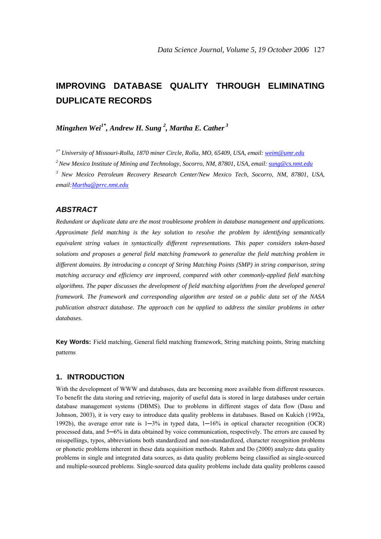# **IMPROVING DATABASE QUALITY THROUGH ELIMINATING DUPLICATE RECORDS**

*Mingzhen Wei1\*, Andrew H. Sung 2 , Martha E. Cather<sup>3</sup>*

*1\* University of Missouri-Rolla, 1870 miner Circle, Rolla, MO, 65409, USA, email: weim@umr.edu 2 New Mexico Institute of Mining and Technology, Socorro, NM, 87801, USA, email: sung@cs.nmt.edu 3 New Mexico Petroleum Recovery Research Center/New Mexico Tech, Socorro, NM, 87801, USA, email:Martha@prrc.nmt.edu* 

## *ABSTRACT*

*Redundant or duplicate data are the most troublesome problem in database management and applications. Approximate field matching is the key solution to resolve the problem by identifying semantically equivalent string values in syntactically different representations. This paper considers token-based solutions and proposes a general field matching framework to generalize the field matching problem in different domains. By introducing a concept of String Matching Points (SMP) in string comparison, string matching accuracy and efficiency are improved, compared with other commonly-applied field matching algorithms. The paper discusses the development of field matching algorithms from the developed general framework. The framework and corresponding algorithm are tested on a public data set of the NASA publication abstract database. The approach can be applied to address the similar problems in other databases.* 

**Key Words:** Field matching, General field matching framework, String matching points, String matching patterns

#### **1. INTRODUCTION**

With the development of WWW and databases, data are becoming more available from different resources. To benefit the data storing and retrieving, majority of useful data is stored in large databases under certain database management systems (DBMS). Due to problems in different stages of data flow (Dasu and Johnson, 2003), it is very easy to introduce data quality problems in databases. Based on Kukich (1992a, 1992b), the average error rate is  $1-3\%$  in typed data,  $1-16\%$  in optical character recognition (OCR) processed data, and 5─6% in data obtained by voice communication, respectively. The errors are caused by misspellings, typos, abbreviations both standardized and non-standardized, character recognition problems or phonetic problems inherent in these data acquisition methods. Rahm and Do (2000) analyze data quality problems in single and integrated data sources, as data quality problems being classified as single-sourced and multiple-sourced problems. Single-sourced data quality problems include data quality problems caused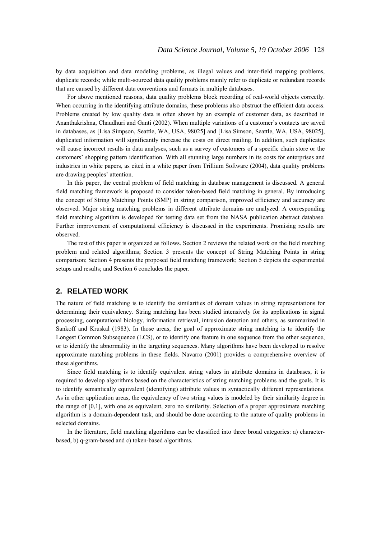by data acquisition and data modeling problems, as illegal values and inter-field mapping problems, duplicate records; while multi-sourced data quality problems mainly refer to duplicate or redundant records that are caused by different data conventions and formats in multiple databases.

For above mentioned reasons, data quality problems block recording of real-world objects correctly. When occurring in the identifying attribute domains, these problems also obstruct the efficient data access. Problems created by low quality data is often shown by an example of customer data, as described in Ananthakrishna, Chaudhuri and Ganti (2002). When multiple variations of a customer's contacts are saved in databases, as [Lisa Simpson, Seattle, WA, USA, 98025] and [Lisa Simson, Seattle, WA, USA, 98025], duplicated information will significantly increase the costs on direct mailing. In addition, such duplicates will cause incorrect results in data analyses, such as a survey of customers of a specific chain store or the customers' shopping pattern identification. With all stunning large numbers in its costs for enterprises and industries in white papers, as cited in a white paper from Trillium Software (2004), data quality problems are drawing peoples' attention.

In this paper, the central problem of field matching in database management is discussed. A general field matching framework is proposed to consider token-based field matching in general. By introducing the concept of String Matching Points (SMP) in string comparison, improved efficiency and accuracy are observed. Major string matching problems in different attribute domains are analyzed. A corresponding field matching algorithm is developed for testing data set from the NASA publication abstract database. Further improvement of computational efficiency is discussed in the experiments. Promising results are observed.

The rest of this paper is organized as follows. Section 2 reviews the related work on the field matching problem and related algorithms; Section 3 presents the concept of String Matching Points in string comparison; Section 4 presents the proposed field matching framework; Section 5 depicts the experimental setups and results; and Section 6 concludes the paper.

## **2. RELATED WORK**

The nature of field matching is to identify the similarities of domain values in string representations for determining their equivalency. String matching has been studied intensively for its applications in signal processing, computational biology, information retrieval, intrusion detection and others, as summarized in Sankoff and Kruskal (1983). In those areas, the goal of approximate string matching is to identify the Longest Common Subsequence (LCS), or to identify one feature in one sequence from the other sequence, or to identify the abnormality in the targeting sequences. Many algorithms have been developed to resolve approximate matching problems in these fields. Navarro (2001) provides a comprehensive overview of these algorithms.

Since field matching is to identify equivalent string values in attribute domains in databases, it is required to develop algorithms based on the characteristics of string matching problems and the goals. It is to identify semantically equivalent (identifying) attribute values in syntactically different representations. As in other application areas, the equivalency of two string values is modeled by their similarity degree in the range of [0,1], with one as equivalent, zero no similarity. Selection of a proper approximate matching algorithm is a domain-dependent task, and should be done according to the nature of quality problems in selected domains.

In the literature, field matching algorithms can be classified into three broad categories: a) characterbased, b) q-gram-based and c) token-based algorithms.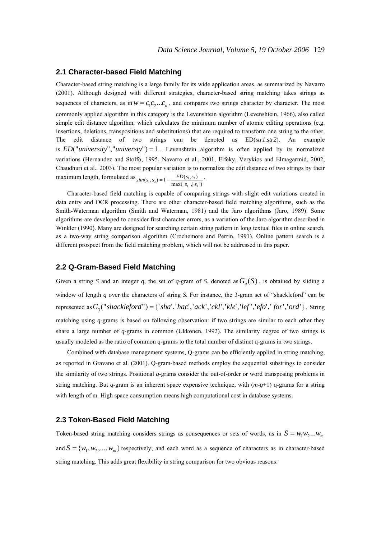#### **2.1 Character-based Field Matching**

Character-based string matching is a large family for its wide application areas, as summarized by Navarro (2001). Although designed with different strategies, character-based string matching takes strings as sequences of characters, as in  $w = c_1 c_2 ... c_n$ , and compares two strings character by character. The most commonly applied algorithm in this category is the Levenshtein algorithm (Levenshtein, 1966), also called simple edit distance algorithm, which calculates the minimum number of atomic editing operations (e.g. insertions, deletions, transpositions and substitutions) that are required to transform one string to the other. The edit distance of two strings can be denoted as ED(*str1*,*str2*). An example is  $ED("university", 'university") = 1$ . Levenshtein algorithm is often applied by its normalized variations (Hernandez and Stolfo, 1995, Navarro et al., 2001, Elfeky, Verykios and Elmagarmid, 2002, Chaudhuri et al., 2003). The most popular variation is to normalize the edit distance of two strings by their maximum length, formulated as  $(s_1, s_2) = 1 - \frac{ED(s_1, s_2)}{\max(|s_1|, |s_1|)}$  $sim(s_1, s_2) = 1 - \frac{ED(s_1, s_2)}{\max(|s_1|, |s_1|)}$ .

Character-based field matching is capable of comparing strings with slight edit variations created in data entry and OCR processing. There are other character-based field matching algorithms, such as the Smith-Waterman algorithm (Smith and Waterman, 1981) and the Jaro algorithms (Jaro, 1989). Some algorithms are developed to consider first character errors, as a variation of the Jaro algorithm described in Winkler (1990). Many are designed for searching certain string pattern in long textual files in online search, as a two-way string comparison algorithm (Crochemore and Perrin, 1991). Online pattern search is a different prospect from the field matching problem, which will not be addressed in this paper.

 $_1$  1,1  $_1$ 

#### **2.2 Q-Gram-Based Field Matching**

Given a string *S* and an integer *q*, the set of *q*-gram of *S*, denoted as  $G_a(S)$ , is obtained by sliding a window of length *q* over the characters of string *S*. For instance, the 3-gram set of "shackleford" can be represented as  $G_3$ ("shackleford") = {'sha','hac','ack','ckl','kle','lef','efo','for','ord'}. String matching using *q*-grams is based on following observation: if two strings are similar to each other they share a large number of *q*-grams in common (Ukkonen, 1992). The similarity degree of two strings is usually modeled as the ratio of common q-grams to the total number of distinct q-grams in two strings.

Combined with database management systems, Q-grams can be efficiently applied in string matching, as reported in Gravano et al. (2001). Q-gram-based methods employ the sequential substrings to consider the similarity of two strings. Positional *q*-grams consider the out-of-order or word transposing problems in string matching. But *q*-gram is an inherent space expensive technique, with (*m*-*q*+1) q-grams for a string with length of m. High space consumption means high computational cost in database systems.

#### **2.3 Token-Based Field Matching**

Token-based string matching considers strings as consequences or sets of words, as in  $S = w_1 w_2 ... w_m$ and  $S = \{w_1, w_2, ..., w_m\}$  respectively; and each word as a sequence of characters as in character-based string matching. This adds great flexibility in string comparison for two obvious reasons: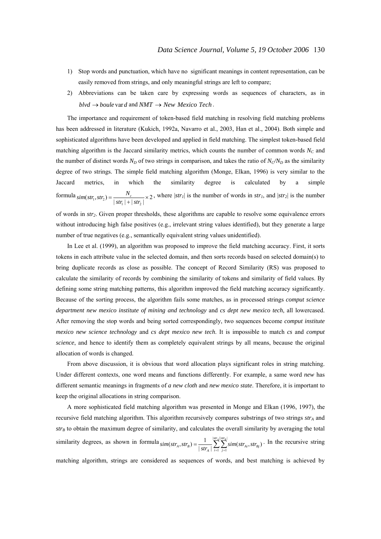- 1) Stop words and punctuation, which have no significant meanings in content representation, can be easily removed from strings, and only meaningful strings are left to compare;
- 2) Abbreviations can be taken care by expressing words as sequences of characters, as in  $b \cdot b \cdot d \rightarrow b \cdot o \cdot u \cdot e$  and  $NMT \rightarrow New$  *Mexico Tech*.

The importance and requirement of token-based field matching in resolving field matching problems has been addressed in literature (Kukich, 1992a, Navarro et al., 2003, Han et al., 2004). Both simple and sophisticated algorithms have been developed and applied in field matching. The simplest token-based field matching algorithm is the Jaccard similarity metrics, which counts the number of common words  $N_c$  and the number of distinct words  $N_D$  of two strings in comparison, and takes the ratio of  $N_C/N_D$  as the similarity degree of two strings. The simple field matching algorithm (Monge, Elkan, 1996) is very similar to the Jaccard metrics, in which the similarity degree is calculated by a simple formula  $\sin(\text{str}_1, \text{str}_2) = \frac{N_c}{|\text{str}_1| + |\text{str}_2|} \times 2$ , where  $|\text{str}_1|$  is the number of words in  $\text{str}_1$ , and  $|\text{str}_2|$  is the number

of words in *str2*. Given proper thresholds, these algorithms are capable to resolve some equivalence errors without introducing high false positives (e.g., irrelevant string values identified), but they generate a large number of true negatives (e.g., semantically equivalent string values unidentified).

In Lee et al. (1999), an algorithm was proposed to improve the field matching accuracy. First, it sorts tokens in each attribute value in the selected domain, and then sorts records based on selected domain(s) to bring duplicate records as close as possible. The concept of Record Similarity (RS) was proposed to calculate the similarity of records by combining the similarity of tokens and similarity of field values. By defining some string matching patterns, this algorithm improved the field matching accuracy significantly. Because of the sorting process, the algorithm fails some matches, as in processed strings *comput science department new mexico institute of mining and technology* and *cs dept new mexico tech*, all lowercased. After removing the stop words and being sorted correspondingly, two sequences become *comput institute mexico new science technology* and *cs dept mexico new tech*. It is impossible to match *cs* and *comput science*, and hence to identify them as completely equivalent strings by all means, because the original allocation of words is changed.

From above discussion, it is obvious that word allocation plays significant roles in string matching. Under different contexts, one word means and functions differently. For example, a same word *new* has different semantic meanings in fragments of *a new cloth* and *new mexico state*. Therefore, it is important to keep the original allocations in string comparison.

A more sophisticated field matching algorithm was presented in Monge and Elkan (1996, 1997), the recursive field matching algorithm. This algorithm recursively compares substrings of two strings *str<sub>A</sub>* and  $str_B$  to obtain the maximum degree of similarity, and calculates the overall similarity by averaging the total similarity degrees, as shown in formula  $\lim(\text{str}_{A}, \text{str}_{B}) = \frac{1}{|\text{str}_{A}|} \sum_{i=1}^{|\text{str}_{A}|} \sum_{j=1}^{|\text{str}_{B}|}$ 1  $| str_R$  $\left(str_{A}, str_{B}\right) = \frac{1}{|str_{A}|} \sum_{i=1}^{|str_{B}|} \sum_{j=1}^{|str_{B}|} sim(str_{Ai}, str_{Bj})$ *i str*  $\lim (str_A, str_B) = \frac{1}{|str_A|} \sum_{i=1}^{n} \sum_{j=1}^{sn_A \text{max}} \sin (str_A, str_B)$ . In the recursive string

matching algorithm, strings are considered as sequences of words, and best matching is achieved by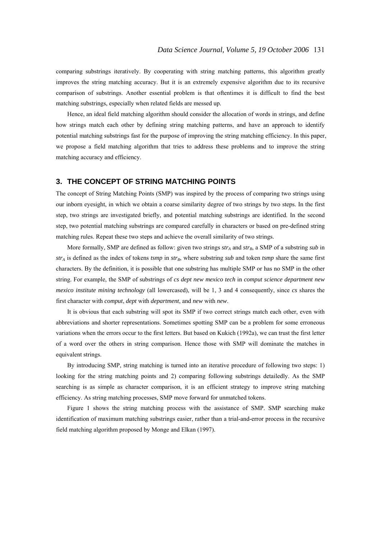comparing substrings iteratively. By cooperating with string matching patterns, this algorithm greatly improves the string matching accuracy. But it is an extremely expensive algorithm due to its recursive comparison of substrings. Another essential problem is that oftentimes it is difficult to find the best matching substrings, especially when related fields are messed up.

Hence, an ideal field matching algorithm should consider the allocation of words in strings, and define how strings match each other by defining string matching patterns, and have an approach to identify potential matching substrings fast for the purpose of improving the string matching efficiency. In this paper, we propose a field matching algorithm that tries to address these problems and to improve the string matching accuracy and efficiency.

## **3. THE CONCEPT OF STRING MATCHING POINTS**

The concept of String Matching Points (SMP) was inspired by the process of comparing two strings using our inborn eyesight, in which we obtain a coarse similarity degree of two strings by two steps. In the first step, two strings are investigated briefly, and potential matching substrings are identified. In the second step, two potential matching substrings are compared carefully in characters or based on pre-defined string matching rules. Repeat these two steps and achieve the overall similarity of two strings.

More formally, SMP are defined as follow: given two strings  $str_A$  and  $str_B$ , a SMP of a substring  $sub$  in  $str_A$  is defined as the index of tokens  $tsmp$  in  $str_B$ , where substring  $sub$  and token  $tsmp$  share the same first characters. By the definition, it is possible that one substring has multiple SMP or has no SMP in the other string. For example, the SMP of substrings of *cs dept new mexico tech* in *comput science department new mexico institute mining technology* (all lowercased), will be 1, 3 and 4 consequently, since *cs* shares the first character with *comput*, *dept* with *department*, and *new* with *new*.

It is obvious that each substring will spot its SMP if two correct strings match each other, even with abbreviations and shorter representations. Sometimes spotting SMP can be a problem for some erroneous variations when the errors occur to the first letters. But based on Kukich (1992a), we can trust the first letter of a word over the others in string comparison. Hence those with SMP will dominate the matches in equivalent strings.

By introducing SMP, string matching is turned into an iterative procedure of following two steps: 1) looking for the string matching points and 2) comparing following substrings detailedly. As the SMP searching is as simple as character comparison, it is an efficient strategy to improve string matching efficiency. As string matching processes, SMP move forward for unmatched tokens.

Figure 1 shows the string matching process with the assistance of SMP. SMP searching make identification of maximum matching substrings easier, rather than a trial-and-error process in the recursive field matching algorithm proposed by Monge and Elkan (1997).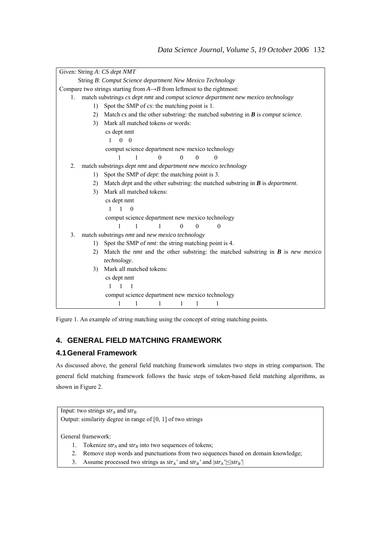

Figure 1. An example of string matching using the concept of string matching points.

# **4. GENERAL FIELD MATCHING FRAMEWORK**

# **4.1 General Framework**

As discussed above, the general field matching framework simulates two steps in string comparison. The general field matching framework follows the basic steps of token-based field matching algorithms, as shown in Figure 2.

Input: two strings  $str_A$  and  $str_B$ Output: similarity degree in range of  $[0, 1]$  of two strings

General framework:

- 1. Tokenize  $str_A$  and  $str_B$  into two sequences of tokens;
- 2. Remove stop words and punctuations from two sequences based on domain knowledge;
- 3. Assume processed two strings as  $str_A'$  and  $str_B'$  and  $|str_A'|\leq |str_B'|$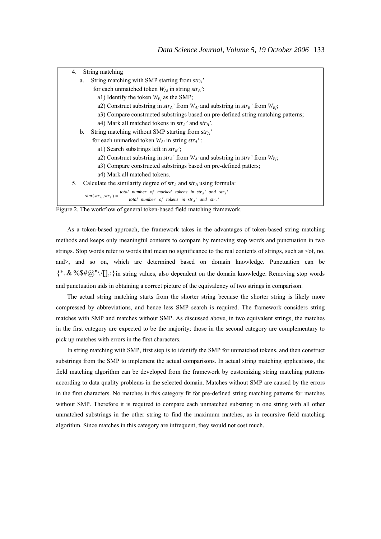| String matching<br>4.                                                                                                                                                                  |  |  |  |  |
|----------------------------------------------------------------------------------------------------------------------------------------------------------------------------------------|--|--|--|--|
| String matching with SMP starting from $str_A$ '<br>a.                                                                                                                                 |  |  |  |  |
| for each unmatched token $W_{Ai}$ in string str <sub>A</sub> ':                                                                                                                        |  |  |  |  |
| a1) Identify the token $W_{B_i}$ as the SMP;                                                                                                                                           |  |  |  |  |
| a2) Construct substring in $str_A$ ' from $W_{Ai}$ and substring in $str_B$ ' from $W_{Bi}$ ;                                                                                          |  |  |  |  |
| a3) Compare constructed substrings based on pre-defined string matching patterns;                                                                                                      |  |  |  |  |
| a4) Mark all matched tokens in $str_A$ and $str_B$ .                                                                                                                                   |  |  |  |  |
| String matching without SMP starting from $str_A$ '<br>b.                                                                                                                              |  |  |  |  |
| for each unmarked token $W_{Ai}$ in string $str_A$ .                                                                                                                                   |  |  |  |  |
| a1) Search substrings left in $str_B$ ;                                                                                                                                                |  |  |  |  |
| a2) Construct substring in $str_A$ ' from $W_{Ai}$ and substring in $str_B$ ' from $W_{Bi}$ ;                                                                                          |  |  |  |  |
| a3) Compare constructed substrings based on pre-defined patters;                                                                                                                       |  |  |  |  |
| a4) Mark all matched tokens.                                                                                                                                                           |  |  |  |  |
| Calculate the similarity degree of $str_A$ and $str_B$ using formula:<br>5.                                                                                                            |  |  |  |  |
| $sim(str_A, str_B) = \frac{total \ number \ of \ marked \ tokens \ in \ str_A^{\ \ i} \ and \ str_B^{\ \ i}}{total \ number \ of \ tokens \ in \ str_A^{\ \ i} \ and \ str_B^{\ \ i}}$ |  |  |  |  |

Figure 2. The workflow of general token-based field matching framework.

As a token-based approach, the framework takes in the advantages of token-based string matching methods and keeps only meaningful contents to compare by removing stop words and punctuation in two strings. Stop words refer to words that mean no significance to the real contents of strings, such as  $\leq$ of, no, and>, and so on, which are determined based on domain knowledge. Punctuation can be  ${*}.&\%$ \$# $@" \setminus []$ ; in string values, also dependent on the domain knowledge. Removing stop words and punctuation aids in obtaining a correct picture of the equivalency of two strings in comparison.

The actual string matching starts from the shorter string because the shorter string is likely more compressed by abbreviations, and hence less SMP search is required. The framework considers string matches with SMP and matches without SMP. As discussed above, in two equivalent strings, the matches in the first category are expected to be the majority; those in the second category are complementary to pick up matches with errors in the first characters.

In string matching with SMP, first step is to identify the SMP for unmatched tokens, and then construct substrings from the SMP to implement the actual comparisons. In actual string matching applications, the field matching algorithm can be developed from the framework by customizing string matching patterns according to data quality problems in the selected domain. Matches without SMP are caused by the errors in the first characters. No matches in this category fit for pre-defined string matching patterns for matches without SMP. Therefore it is required to compare each unmatched substring in one string with all other unmatched substrings in the other string to find the maximum matches, as in recursive field matching algorithm. Since matches in this category are infrequent, they would not cost much.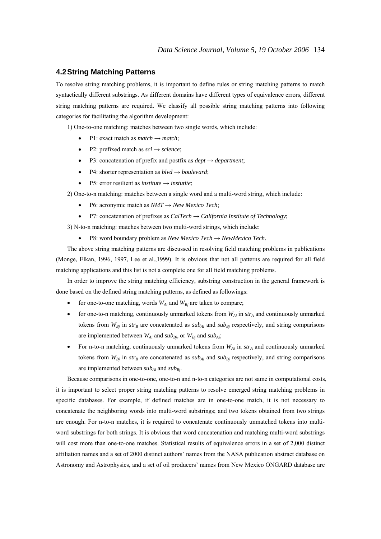#### **4.2 String Matching Patterns**

To resolve string matching problems, it is important to define rules or string matching patterns to match syntactically different substrings. As different domains have different types of equivalence errors, different string matching patterns are required. We classify all possible string matching patterns into following categories for facilitating the algorithm development:

1) One-to-one matching: matches between two single words, which include:

- P1: exact match as  $match \rightarrow match;$
- P2: prefixed match as  $\text{sci} \rightarrow \text{science}$ ;
- P3: concatenation of prefix and postfix as *dept* → *department*;
- P4: shorter representation as  $blvd \rightarrow boulevant$ ;
- P5: error resilient as *institute*  $\rightarrow$  *instutite*;

2) One-to-n matching: matches between a single word and a multi-word string, which include:

- P6: acronymic match as *NMT* → *New Mexico Tech*;
- P7: concatenation of prefixes as *CalTech* → *California Institute of Technology*;

3) N-to-n matching: matches between two multi-word strings, which include:

• P8: word boundary problem as *New Mexico Tech* → *NewMexico Tech*.

The above string matching patterns are discussed in resolving field matching problems in publications (Monge, Elkan, 1996, 1997, Lee et al.,1999). It is obvious that not all patterns are required for all field matching applications and this list is not a complete one for all field matching problems.

In order to improve the string matching efficiency, substring construction in the general framework is done based on the defined string matching patterns, as defined as followings:

- for one-to-one matching, words  $W_{Ai}$  and  $W_{Bi}$  are taken to compare;
- for one-to-n matching, continuously unmarked tokens from  $W_{Ai}$  in  $str_A$  and continuously unmarked tokens from  $W_{Bj}$  in  $str_B$  are concatenated as  $sub_{Ai}$  and  $sub_{Bj}$  respectively, and string comparisons are implemented between  $W_{Ai}$  and  $\frac{sub_{Bi}}{sub_{Ai}}$ , or  $W_{Bi}$  and  $\frac{sub_{Ai}}{sub_{Ai}}$ .
- For n-to-n matching, continuously unmarked tokens from  $W_{Ai}$  in  $str_A$  and continuously unmarked tokens from  $W_{Bj}$  in  $str_B$  are concatenated as  $sub_{Ai}$  and  $sub_{Bj}$  respectively, and string comparisons are implemented between  $sub_{Ai}$  and  $sub_{Bi}$ .

Because comparisons in one-to-one, one-to-n and n-to-n categories are not same in computational costs, it is important to select proper string matching patterns to resolve emerged string matching problems in specific databases. For example, if defined matches are in one-to-one match, it is not necessary to concatenate the neighboring words into multi-word substrings; and two tokens obtained from two strings are enough. For n-to-n matches, it is required to concatenate continuously unmatched tokens into multiword substrings for both strings. It is obvious that word concatenation and matching multi-word substrings will cost more than one-to-one matches. Statistical results of equivalence errors in a set of 2,000 distinct affiliation names and a set of 2000 distinct authors' names from the NASA publication abstract database on Astronomy and Astrophysics, and a set of oil producers' names from New Mexico ONGARD database are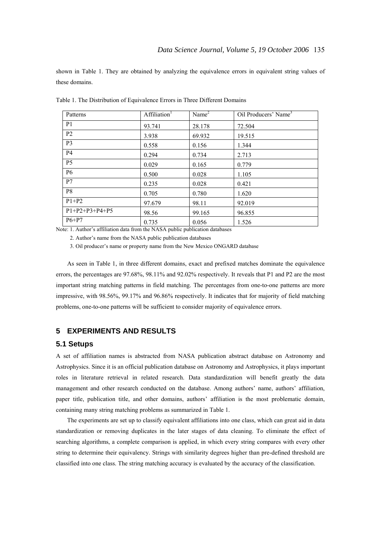shown in Table 1. They are obtained by analyzing the equivalence errors in equivalent string values of these domains.

| Patterns         | Affiliation <sup>1</sup> | Name <sup>2</sup> | Oil Producers' Name <sup>3</sup> |
|------------------|--------------------------|-------------------|----------------------------------|
| P <sub>1</sub>   | 93.741                   | 28.178            | 72.504                           |
| P <sub>2</sub>   | 3.938                    | 69.932            | 19.515                           |
| P <sub>3</sub>   | 0.558                    | 0.156             | 1.344                            |
| <b>P4</b>        | 0.294                    | 0.734             | 2.713                            |
| P <sub>5</sub>   | 0.029                    | 0.165             | 0.779                            |
| <b>P6</b>        | 0.500                    | 0.028             | 1.105                            |
| P7               | 0.235                    | 0.028             | 0.421                            |
| P <sub>8</sub>   | 0.705                    | 0.780             | 1.620                            |
| $P1+P2$          | 97.679                   | 98.11             | 92.019                           |
| $P1+P2+P3+P4+P5$ | 98.56                    | 99.165            | 96.855                           |
| $P6+P7$          | 0.735                    | 0.056             | 1.526                            |

Table 1. The Distribution of Equivalence Errors in Three Different Domains

Note: 1. Author's affiliation data from the NASA public publication databases

2. Author's name from the NASA public publication databases

3. Oil producer's name or property name from the New Mexico ONGARD database

As seen in Table 1, in three different domains, exact and prefixed matches dominate the equivalence errors, the percentages are 97.68%, 98.11% and 92.02% respectively. It reveals that P1 and P2 are the most important string matching patterns in field matching. The percentages from one-to-one patterns are more impressive, with 98.56%, 99.17% and 96.86% respectively. It indicates that for majority of field matching problems, one-to-one patterns will be sufficient to consider majority of equivalence errors.

## **5 EXPERIMENTS AND RESULTS**

#### **5.1 Setups**

A set of affiliation names is abstracted from NASA publication abstract database on Astronomy and Astrophysics. Since it is an official publication database on Astronomy and Astrophysics, it plays important roles in literature retrieval in related research. Data standardization will benefit greatly the data management and other research conducted on the database. Among authors' name, authors' affiliation, paper title, publication title, and other domains, authors' affiliation is the most problematic domain, containing many string matching problems as summarized in Table 1.

The experiments are set up to classify equivalent affiliations into one class, which can great aid in data standardization or removing duplicates in the later stages of data cleaning. To eliminate the effect of searching algorithms, a complete comparison is applied, in which every string compares with every other string to determine their equivalency. Strings with similarity degrees higher than pre-defined threshold are classified into one class. The string matching accuracy is evaluated by the accuracy of the classification.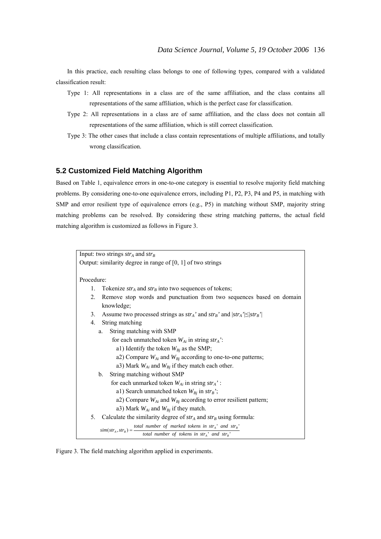In this practice, each resulting class belongs to one of following types, compared with a validated classification result:

- Type 1: All representations in a class are of the same affiliation, and the class contains all representations of the same affiliation, which is the perfect case for classification.
- Type 2: All representations in a class are of same affiliation, and the class does not contain all representations of the same affiliation, which is still correct classification.
- Type 3: The other cases that include a class contain representations of multiple affiliations, and totally wrong classification.

#### **5.2 Customized Field Matching Algorithm**

Based on Table 1, equivalence errors in one-to-one category is essential to resolve majority field matching problems. By considering one-to-one equivalence errors, including P1, P2, P3, P4 and P5, in matching with SMP and error resilient type of equivalence errors (e.g., P5) in matching without SMP, majority string matching problems can be resolved. By considering these string matching patterns, the actual field matching algorithm is customized as follows in Figure 3.

Input: two strings  $str_A$  and  $str_B$ Output: similarity degree in range of  $[0, 1]$  of two strings Procedure: 1. Tokenize  $str_A$  and  $str_B$  into two sequences of tokens; 2. Remove stop words and punctuation from two sequences based on domain knowledge; 3. Assume two processed strings as  $str_A'$  and  $str_B'$  and  $|str_A'|\leq |str_B'|$ 4. String matching a. String matching with SMP for each unmatched token  $W_{Ai}$  in string  $str_A$ ': a1) Identify the token  $W_{Bi}$  as the SMP; a2) Compare  $W_{Ai}$  and  $W_{Bi}$  according to one-to-one patterns; a3) Mark  $W_{Ai}$  and  $W_{Bi}$  if they match each other. b. String matching without SMP for each unmarked token *WAi* in string *strA'* : a1) Search unmatched token  $W_{B_i}$  in  $str_B$ '; a2) Compare  $W_{Ai}$  and  $W_{Bi}$  according to error resilient pattern; a3) Mark  $W_{Ai}$  and  $W_{Bj}$  if they match. 5. Calculate the similarity degree of  $str_A$  and  $str_B$  using formula:  $'$  and str.  $(str_A, str_B) = \frac{total \ number \ of \ marked \ tokens \ in \ str_A' \ and \ str_B'}{total \ number \ of \ tokens \ in \ str_A' \ and \ str_B'}$  $sim(str_A, str_B) = \frac{total \ number \ of \ marked \ tokens \ in \ str_A'}{total \ number \ of \ tokens \ in \ str_A'} \ and \ str_B$ 

Figure 3. The field matching algorithm applied in experiments.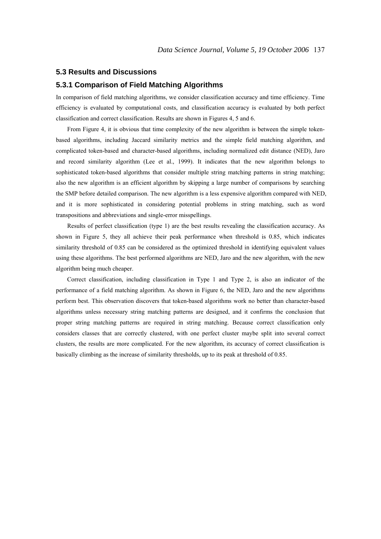#### **5.3 Results and Discussions**

## **5.3.1 Comparison of Field Matching Algorithms**

In comparison of field matching algorithms, we consider classification accuracy and time efficiency. Time efficiency is evaluated by computational costs, and classification accuracy is evaluated by both perfect classification and correct classification. Results are shown in Figures 4, 5 and 6.

From Figure 4, it is obvious that time complexity of the new algorithm is between the simple tokenbased algorithms, including Jaccard similarity metrics and the simple field matching algorithm, and complicated token-based and character-based algorithms, including normalized edit distance (NED), Jaro and record similarity algorithm (Lee et al., 1999). It indicates that the new algorithm belongs to sophisticated token-based algorithms that consider multiple string matching patterns in string matching; also the new algorithm is an efficient algorithm by skipping a large number of comparisons by searching the SMP before detailed comparison. The new algorithm is a less expensive algorithm compared with NED, and it is more sophisticated in considering potential problems in string matching, such as word transpositions and abbreviations and single-error misspellings.

Results of perfect classification (type 1) are the best results revealing the classification accuracy. As shown in Figure 5, they all achieve their peak performance when threshold is 0.85, which indicates similarity threshold of 0.85 can be considered as the optimized threshold in identifying equivalent values using these algorithms. The best performed algorithms are NED, Jaro and the new algorithm, with the new algorithm being much cheaper.

Correct classification, including classification in Type 1 and Type 2, is also an indicator of the performance of a field matching algorithm. As shown in Figure 6, the NED, Jaro and the new algorithms perform best. This observation discovers that token-based algorithms work no better than character-based algorithms unless necessary string matching patterns are designed, and it confirms the conclusion that proper string matching patterns are required in string matching. Because correct classification only considers classes that are correctly clustered, with one perfect cluster maybe split into several correct clusters, the results are more complicated. For the new algorithm, its accuracy of correct classification is basically climbing as the increase of similarity thresholds, up to its peak at threshold of 0.85.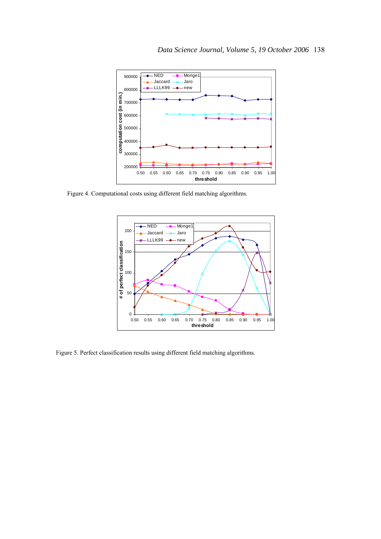

Figure 4. Computational costs using different field matching algorithms.



Figure 5. Perfect classification results using different field matching algorithms.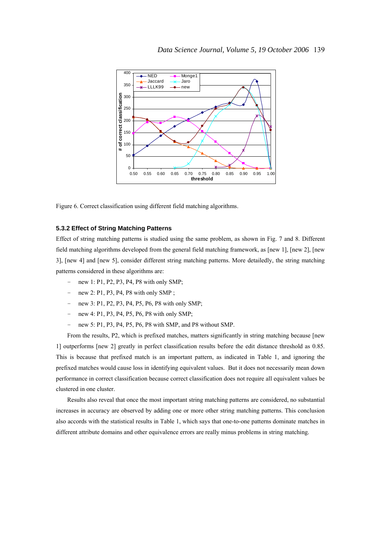

Figure 6. Correct classification using different field matching algorithms.

#### **5.3.2 Effect of String Matching Patterns**

Effect of string matching patterns is studied using the same problem, as shown in Fig. 7 and 8. Different field matching algorithms developed from the general field matching framework, as [new 1], [new 2], [new 3], [new 4] and [new 5], consider different string matching patterns. More detailedly, the string matching patterns considered in these algorithms are:

- new 1: P1, P2, P3, P4, P8 with only SMP;
- − new 2: P1, P3, P4, P8 with only SMP ;
- − new 3: P1, P2, P3, P4, P5, P6, P8 with only SMP;
- − new 4: P1, P3, P4, P5, P6, P8 with only SMP;
- − new 5: P1, P3, P4, P5, P6, P8 with SMP, and P8 without SMP.

From the results, P2, which is prefixed matches, matters significantly in string matching because [new 1] outperforms [new 2] greatly in perfect classification results before the edit distance threshold as 0.85. This is because that prefixed match is an important pattern, as indicated in Table 1, and ignoring the prefixed matches would cause loss in identifying equivalent values. But it does not necessarily mean down performance in correct classification because correct classification does not require all equivalent values be clustered in one cluster.

Results also reveal that once the most important string matching patterns are considered, no substantial increases in accuracy are observed by adding one or more other string matching patterns. This conclusion also accords with the statistical results in Table 1, which says that one-to-one patterns dominate matches in different attribute domains and other equivalence errors are really minus problems in string matching.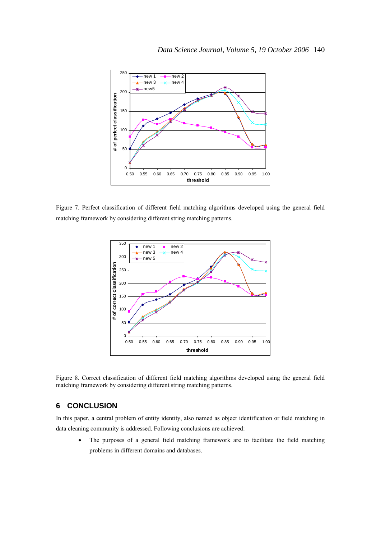

Figure 7. Perfect classification of different field matching algorithms developed using the general field matching framework by considering different string matching patterns.



Figure 8. Correct classification of different field matching algorithms developed using the general field matching framework by considering different string matching patterns.

# **6 CONCLUSION**

In this paper, a central problem of entity identity, also named as object identification or field matching in data cleaning community is addressed. Following conclusions are achieved:

• The purposes of a general field matching framework are to facilitate the field matching problems in different domains and databases.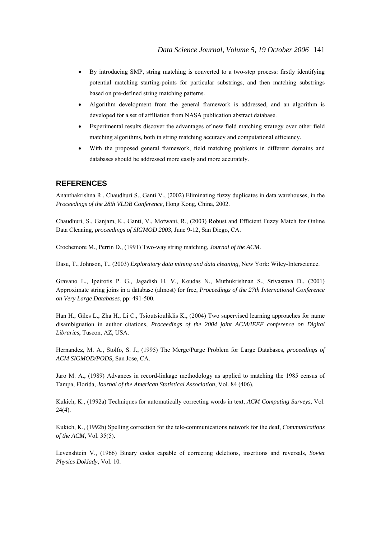- By introducing SMP, string matching is converted to a two-step process: firstly identifying potential matching starting-points for particular substrings, and then matching substrings based on pre-defined string matching patterns.
- Algorithm development from the general framework is addressed, and an algorithm is developed for a set of affiliation from NASA publication abstract database.
- Experimental results discover the advantages of new field matching strategy over other field matching algorithms, both in string matching accuracy and computational efficiency.
- With the proposed general framework, field matching problems in different domains and databases should be addressed more easily and more accurately.

## **REFERENCES**

Ananthakrishna R., Chaudhuri S., Ganti V., (2002) Eliminating fuzzy duplicates in data warehouses, in the *Proceedings of the 28th VLDB Conference*, Hong Kong, China, 2002.

Chaudhuri, S., Ganjam, K., Ganti, V., Motwani, R., (2003) Robust and Efficient Fuzzy Match for Online Data Cleaning, *proceedings of SIGMOD 2003*, June 9-12, San Diego, CA.

Crochemore M., Perrin D., (1991) Two-way string matching, *Journal of the ACM*.

Dasu, T., Johnson, T., (2003) *Exploratory data mining and data cleaning*, New York: Wiley-Interscience.

Gravano L., Ipeirotis P. G., Jagadish H. V., Koudas N., Muthukrishnan S., Srivastava D., (2001) Approximate string joins in a database (almost) for free, *Proceedings of the 27th International Conference on Very Large Databases*, pp: 491-500.

Han H., Giles L., Zha H., Li C., Tsioutsiouliklis K., (2004) Two supervised learning approaches for name disambiguation in author citations, *Proceedings of the 2004 joint ACM/IEEE conference on Digital Libraries*, Tuscon, AZ, USA.

Hernandez, M. A., Stolfo, S. J., (1995) The Merge/Purge Problem for Large Databases, *proceedings of ACM SIGMOD/PODS*, San Jose, CA.

Jaro M. A., (1989) Advances in record-linkage methodology as applied to matching the 1985 census of Tampa, Florida, *Journal of the American Statistical Association*, Vol. 84 (406).

Kukich, K., (1992a) Techniques for automatically correcting words in text, *ACM Computing Surveys*, Vol. 24(4).

Kukich, K., (1992b) Spelling correction for the tele-communications network for the deaf, *Communications of the ACM*, Vol. 35(5).

Levenshtein V., (1966) Binary codes capable of correcting deletions, insertions and reversals, *Soviet Physics Doklady*, Vol. 10.